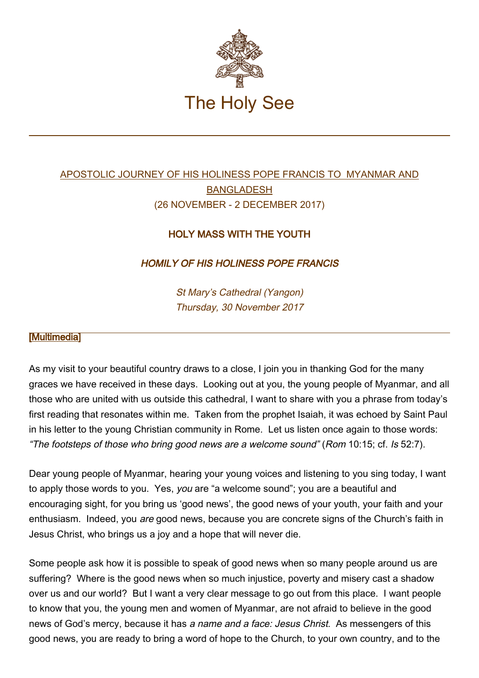

## [APOSTOLIC JOURNEY OF HIS HOLINESS POPE FRANCIS TO MYANMAR AND](http://w2.vatican.va/content/francesco/en/travels/2017/outside/documents/papa-francesco-myanmar-bangladesh_2017.html) [BANGLADESH](http://w2.vatican.va/content/francesco/en/travels/2017/outside/documents/papa-francesco-myanmar-bangladesh_2017.html) (26 NOVEMBER - 2 DECEMBER 2017)

## HOLY MASS WITH THE YOUTH

HOMILY OF HIS HOLINESS POPE FRANCIS

St Mary's Cathedral (Yangon) Thursday, 30 November 2017

## [\[Multimedia](http://w2.vatican.va/content/francesco/en/events/event.dir.html/content/vaticanevents/en/2017/11/30/messa-yangon-giovani.html)]

As my visit to your beautiful country draws to a close, I join you in thanking God for the many graces we have received in these days. Looking out at you, the young people of Myanmar, and all those who are united with us outside this cathedral, I want to share with you a phrase from today's first reading that resonates within me. Taken from the prophet Isaiah, it was echoed by Saint Paul in his letter to the young Christian community in Rome. Let us listen once again to those words: "The footsteps of those who bring good news are a welcome sound" (Rom 10:15; cf. Is 52:7).

Dear young people of Myanmar, hearing your young voices and listening to you sing today, I want to apply those words to you. Yes, you are "a welcome sound"; you are a beautiful and encouraging sight, for you bring us 'good news', the good news of your youth, your faith and your enthusiasm. Indeed, you are good news, because you are concrete signs of the Church's faith in Jesus Christ, who brings us a joy and a hope that will never die.

Some people ask how it is possible to speak of good news when so many people around us are suffering? Where is the good news when so much injustice, poverty and misery cast a shadow over us and our world? But I want a very clear message to go out from this place. I want people to know that you, the young men and women of Myanmar, are not afraid to believe in the good news of God's mercy, because it has a name and a face: Jesus Christ. As messengers of this good news, you are ready to bring a word of hope to the Church, to your own country, and to the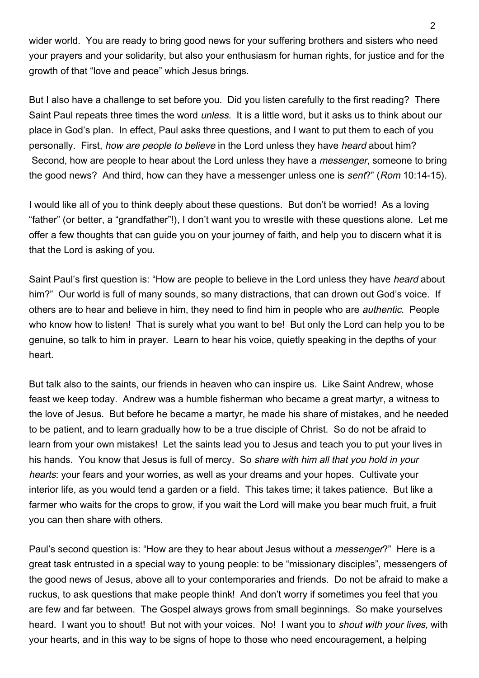wider world. You are ready to bring good news for your suffering brothers and sisters who need your prayers and your solidarity, but also your enthusiasm for human rights, for justice and for the growth of that "love and peace" which Jesus brings.

But I also have a challenge to set before you. Did you listen carefully to the first reading? There Saint Paul repeats three times the word unless. It is a little word, but it asks us to think about our place in God's plan. In effect, Paul asks three questions, and I want to put them to each of you personally. First, *how are people to believe* in the Lord unless they have *heard* about him? Second, how are people to hear about the Lord unless they have a *messenger*, someone to bring the good news? And third, how can they have a messenger unless one is *sent?*" (Rom 10:14-15).

I would like all of you to think deeply about these questions. But don't be worried! As a loving "father" (or better, a "grandfather"!), I don't want you to wrestle with these questions alone. Let me offer a few thoughts that can guide you on your journey of faith, and help you to discern what it is that the Lord is asking of you.

Saint Paul's first question is: "How are people to believe in the Lord unless they have heard about him?" Our world is full of many sounds, so many distractions, that can drown out God's voice. If others are to hear and believe in him, they need to find him in people who are authentic. People who know how to listen! That is surely what you want to be! But only the Lord can help you to be genuine, so talk to him in prayer. Learn to hear his voice, quietly speaking in the depths of your heart.

But talk also to the saints, our friends in heaven who can inspire us. Like Saint Andrew, whose feast we keep today. Andrew was a humble fisherman who became a great martyr, a witness to the love of Jesus. But before he became a martyr, he made his share of mistakes, and he needed to be patient, and to learn gradually how to be a true disciple of Christ. So do not be afraid to learn from your own mistakes! Let the saints lead you to Jesus and teach you to put your lives in his hands. You know that Jesus is full of mercy. So share with him all that you hold in your hearts: your fears and your worries, as well as your dreams and your hopes. Cultivate your interior life, as you would tend a garden or a field. This takes time; it takes patience. But like a farmer who waits for the crops to grow, if you wait the Lord will make you bear much fruit, a fruit you can then share with others.

Paul's second question is: "How are they to hear about Jesus without a *messenger*?" Here is a great task entrusted in a special way to young people: to be "missionary disciples", messengers of the good news of Jesus, above all to your contemporaries and friends. Do not be afraid to make a ruckus, to ask questions that make people think! And don't worry if sometimes you feel that you are few and far between. The Gospel always grows from small beginnings. So make yourselves heard. I want you to shout! But not with your voices. No! I want you to shout with your lives, with your hearts, and in this way to be signs of hope to those who need encouragement, a helping